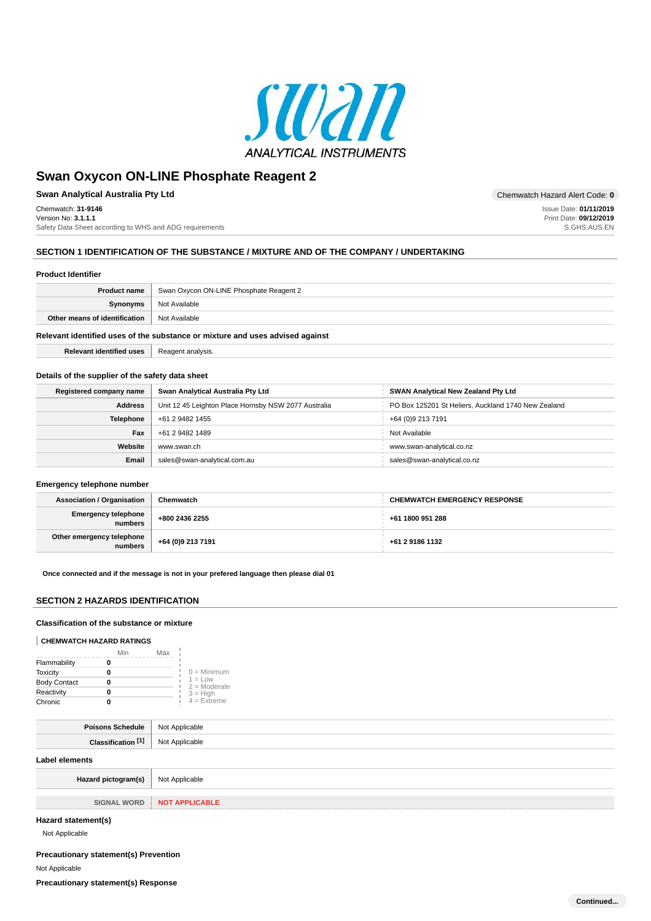

**Swan Analytical Australia Pty Ltd Chemwatch Hazard Alert Code: 0** Chemwatch: **31-9146** Version No: **3.1.1.1** Safety Data Sheet according to WHS and ADG requirements

Issue Date: **01/11/2019** Print Date: **09/12/2019** S.GHS.AUS.EN

### **SECTION 1 IDENTIFICATION OF THE SUBSTANCE / MIXTURE AND OF THE COMPANY / UNDERTAKING**

#### **Product Identifier**

| <b>Product name</b>                                                           | Swan Oxycon ON-LINE Phosphate Reagent 2 |  |  |  |
|-------------------------------------------------------------------------------|-----------------------------------------|--|--|--|
| Synonyms                                                                      | Not Available                           |  |  |  |
| Other means of identification                                                 | Not Available                           |  |  |  |
| Relevant identified uses of the substance or mixture and uses advised against |                                         |  |  |  |

**Relevant identified uses Reagent analysis.** 

### **Details of the supplier of the safety data sheet**

| Registered company name | Swan Analytical Australia Pty Ltd                    | <b>SWAN Analytical New Zealand Pty Ltd</b>          |  |  |
|-------------------------|------------------------------------------------------|-----------------------------------------------------|--|--|
| <b>Address</b>          | Unit 12 45 Leighton Place Hornsby NSW 2077 Australia | PO Box 125201 St Heliers, Auckland 1740 New Zealand |  |  |
| <b>Telephone</b>        | +61 2 9482 1455                                      | +64 (0)9 213 7191                                   |  |  |
| Fax<br>+61 2 9482 1489  |                                                      | Not Available                                       |  |  |
| Website<br>www.swan.ch  |                                                      | www.swan-analytical.co.nz                           |  |  |
| <b>Email</b>            | sales@swan-analytical.com.au                         | sales@swan-analytical.co.nz                         |  |  |

### **Emergency telephone number**

| <b>Association / Organisation</b>      | Chemwatch         | <b>CHEMWATCH EMERGENCY RESPONSE</b> |  |  |
|----------------------------------------|-------------------|-------------------------------------|--|--|
| Emergency telephone<br>numbers         | +800 2436 2255    | +61 1800 951 288                    |  |  |
| Other emergency telephone<br>  numbers | +64 (0)9 213 7191 | +61 2 9186 1132                     |  |  |

**Once connected and if the message is not in your prefered language then please dial 01**

### **SECTION 2 HAZARDS IDENTIFICATION**

### **Classification of the substance or mixture**

#### **CHEMWATCH HAZARD RATINGS**

|                     | Min | Max |                             |
|---------------------|-----|-----|-----------------------------|
| Flammability        |     |     |                             |
| <b>Toxicity</b>     |     |     | $0 =$ Minimum               |
| <b>Body Contact</b> |     |     | $1 = Low$<br>$2 =$ Moderate |
| Reactivity          |     |     | $3 = High$                  |
| Chronic             |     |     | $4 = Ex$ <i>reme</i>        |

| Poisons Schedule   Not Applicable        |  |  |  |
|------------------------------------------|--|--|--|
| <b>Classification [1]</b> Not Applicable |  |  |  |
| Label elements                           |  |  |  |
| Hazard pictogram(s)   Not Applicable     |  |  |  |

| <b>SIGNAL WORD</b> | <b>NOT APPLICABLE</b> |
|--------------------|-----------------------|
|                    |                       |

### **Hazard statement(s)**

Not Applicable

### **Precautionary statement(s) Prevention**

Not Applicable

**Precautionary statement(s) Response**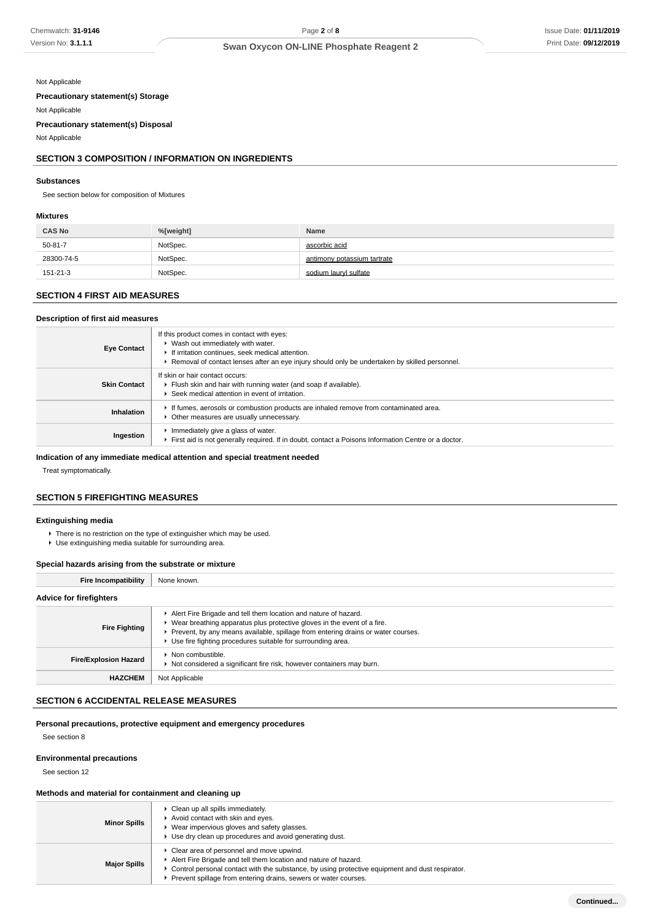Not Applicable

**Precautionary statement(s) Storage**

Not Applicable **Precautionary statement(s) Disposal**

Not Applicable

### **SECTION 3 COMPOSITION / INFORMATION ON INGREDIENTS**

#### **Substances**

See section below for composition of Mixtures

### **Mixtures**

| <b>CAS No</b> | %[weight] | Name                        |
|---------------|-----------|-----------------------------|
| 50-81-7       | NotSpec.  | ascorbic acid               |
| 28300-74-5    | NotSpec.  | antimony potassium tartrate |
| 151-21-3      | NotSpec.  | sodium lauryl sulfate       |

# **SECTION 4 FIRST AID MEASURES**

#### **Description of first aid measures**

| <b>Eye Contact</b>  | If this product comes in contact with eyes:<br>▶ Wash out immediately with water.<br>If irritation continues, seek medical attention.<br>► Removal of contact lenses after an eye injury should only be undertaken by skilled personnel. |
|---------------------|------------------------------------------------------------------------------------------------------------------------------------------------------------------------------------------------------------------------------------------|
| <b>Skin Contact</b> | If skin or hair contact occurs:<br>Filush skin and hair with running water (and soap if available).<br>Seek medical attention in event of irritation.                                                                                    |
| Inhalation          | If fumes, aerosols or combustion products are inhaled remove from contaminated area.<br>• Other measures are usually unnecessary.                                                                                                        |
| Ingestion           | Immediately give a glass of water.<br>First aid is not generally required. If in doubt, contact a Poisons Information Centre or a doctor.                                                                                                |

### **Indication of any immediate medical attention and special treatment needed**

Treat symptomatically.

# **SECTION 5 FIREFIGHTING MEASURES**

### **Extinguishing media**

- ▶ There is no restriction on the type of extinguisher which may be used.
- Use extinguishing media suitable for surrounding area.

### **Special hazards arising from the substrate or mixture**

| <b>Fire Incompatibility</b>    | None known.                                                                                                                                                                                                                                                                                       |  |  |  |
|--------------------------------|---------------------------------------------------------------------------------------------------------------------------------------------------------------------------------------------------------------------------------------------------------------------------------------------------|--|--|--|
| <b>Advice for firefighters</b> |                                                                                                                                                                                                                                                                                                   |  |  |  |
| <b>Fire Fighting</b>           | Alert Fire Brigade and tell them location and nature of hazard.<br>▶ Wear breathing apparatus plus protective gloves in the event of a fire.<br>Prevent, by any means available, spillage from entering drains or water courses.<br>• Use fire fighting procedures suitable for surrounding area. |  |  |  |
| <b>Fire/Explosion Hazard</b>   | $\blacktriangleright$ Non combustible.<br>▶ Not considered a significant fire risk, however containers may burn.                                                                                                                                                                                  |  |  |  |
| <b>HAZCHEM</b>                 | Not Applicable                                                                                                                                                                                                                                                                                    |  |  |  |

## **SECTION 6 ACCIDENTAL RELEASE MEASURES**

### **Personal precautions, protective equipment and emergency procedures**

See section 8

### **Environmental precautions**

See section 12

### **Methods and material for containment and cleaning up**

|                     | • Clean up all spills immediately.                                                                |
|---------------------|---------------------------------------------------------------------------------------------------|
| <b>Minor Spills</b> | Avoid contact with skin and eyes.                                                                 |
|                     | ▶ Wear impervious gloves and safety glasses.                                                      |
|                     | Use dry clean up procedures and avoid generating dust.                                            |
|                     | • Clear area of personnel and move upwind.                                                        |
|                     | Alert Fire Brigade and tell them location and nature of hazard.                                   |
| <b>Major Spills</b> | ► Control personal contact with the substance, by using protective equipment and dust respirator. |
|                     | Prevent spillage from entering drains, sewers or water courses.                                   |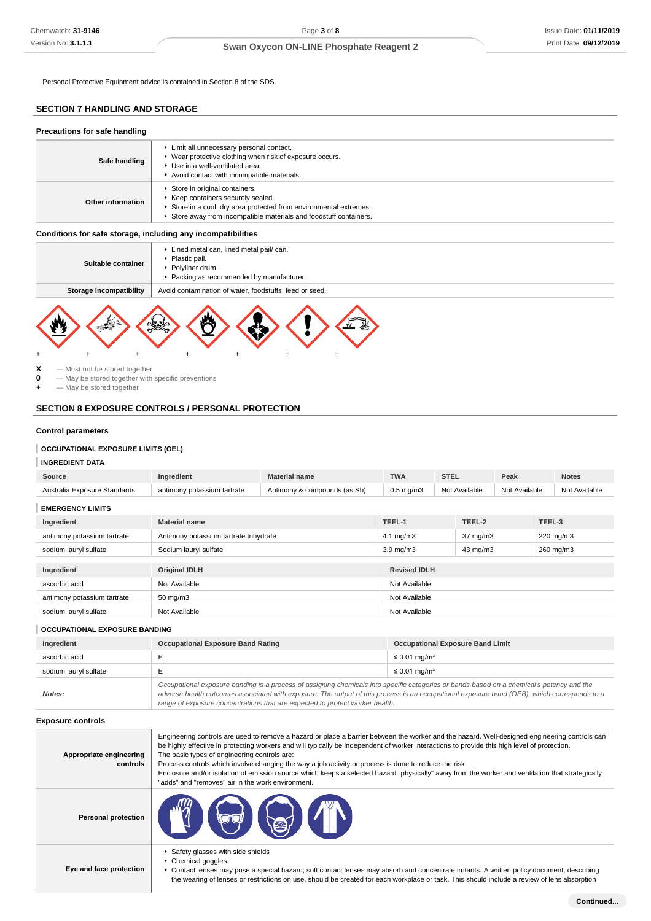Personal Protective Equipment advice is contained in Section 8 of the SDS.

# **SECTION 7 HANDLING AND STORAGE**

| Precautions for safe handling |                                                                                                                                                                                                             |  |  |  |
|-------------------------------|-------------------------------------------------------------------------------------------------------------------------------------------------------------------------------------------------------------|--|--|--|
| Safe handling                 | Limit all unnecessary personal contact.<br>▶ Wear protective clothing when risk of exposure occurs.<br>▶ Use in a well-ventilated area.<br>Avoid contact with incompatible materials.                       |  |  |  |
| Other information             | Store in original containers.<br>▶ Keep containers securely sealed.<br>Store in a cool, dry area protected from environmental extremes.<br>Store away from incompatible materials and foodstuff containers. |  |  |  |

### **Conditions for safe storage, including any incompatibilities**

| Suitable container                                                                 | ► Lined metal can, lined metal pail/ can.<br>• Plastic pail.<br>▶ Polyliner drum.<br>▶ Packing as recommended by manufacturer. |  |  |  |  |  |  |
|------------------------------------------------------------------------------------|--------------------------------------------------------------------------------------------------------------------------------|--|--|--|--|--|--|
| Avoid contamination of water, foodstuffs, feed or seed.<br>Storage incompatibility |                                                                                                                                |  |  |  |  |  |  |
|                                                                                    |                                                                                                                                |  |  |  |  |  |  |



**X** — Must not be stored together<br>**0** — May be stored together with **0** — May be stored together with specific preventions

**+** — May be stored together

# **SECTION 8 EXPOSURE CONTROLS / PERSONAL PROTECTION**

### **Control parameters**

# **OCCUPATIONAL EXPOSURE LIMITS (OEL)**

| <b>INGREDIENT DATA</b> |  |
|------------------------|--|
|                        |  |

| Source                       | Ingredient                             | <b>Material name</b>         | <b>TWA</b>                                | <b>STEL</b>   |                   | Peak          |        | <b>Notes</b>  |
|------------------------------|----------------------------------------|------------------------------|-------------------------------------------|---------------|-------------------|---------------|--------|---------------|
| Australia Exposure Standards | antimony potassium tartrate            | Antimony & compounds (as Sb) | $0.5$ mg/m $3$                            | Not Available |                   | Not Available |        | Not Available |
| <b>EMERGENCY LIMITS</b>      |                                        |                              |                                           |               |                   |               |        |               |
| Ingredient                   | <b>Material name</b>                   |                              | TEEL-1                                    |               | TEEL-2            |               | TEEL-3 |               |
| antimony potassium tartrate  | Antimony potassium tartrate trihydrate |                              | $37 \text{ mg/m}$<br>$4.1 \text{ mg/m}$ 3 |               | 220 mg/m3         |               |        |               |
| sodium lauryl sulfate        | Sodium lauryl sulfate                  |                              | $3.9 \text{ mg/m}$                        |               | $43 \text{ mg/m}$ |               |        | 260 mg/m3     |
|                              |                                        |                              |                                           |               |                   |               |        |               |
| Ingredient                   | <b>Original IDLH</b>                   |                              | <b>Revised IDLH</b>                       |               |                   |               |        |               |
| ascorbic acid                | Not Available                          |                              | Not Available                             |               |                   |               |        |               |
| antimony potassium tartrate  | $50 \text{ mg/m}$ 3                    |                              | Not Available                             |               |                   |               |        |               |
| sodium lauryl sulfate        | Not Available                          |                              | Not Available                             |               |                   |               |        |               |
|                              |                                        |                              |                                           |               |                   |               |        |               |

### **OCCUPATIONAL EXPOSURE BANDING**

| Ingredient            | <b>Occupational Exposure Band Rating</b>                                                                                                                                                                                                                                                                                                                                 | <b>Occupational Exposure Band Limit</b> |  |
|-----------------------|--------------------------------------------------------------------------------------------------------------------------------------------------------------------------------------------------------------------------------------------------------------------------------------------------------------------------------------------------------------------------|-----------------------------------------|--|
| ascorbic acid         |                                                                                                                                                                                                                                                                                                                                                                          | $\leq 0.01$ mg/m <sup>3</sup>           |  |
| sodium lauryl sulfate |                                                                                                                                                                                                                                                                                                                                                                          | $\leq 0.01$ mg/m <sup>3</sup>           |  |
| Notes:                | Occupational exposure banding is a process of assigning chemicals into specific categories or bands based on a chemical's potency and the<br>adverse health outcomes associated with exposure. The output of this process is an occupational exposure band (OEB), which corresponds to a<br>range of exposure concentrations that are expected to protect worker health. |                                         |  |

**Exposure controls**

| Appropriate engineering<br>controls | Engineering controls are used to remove a hazard or place a barrier between the worker and the hazard. Well-designed engineering controls can<br>be highly effective in protecting workers and will typically be independent of worker interactions to provide this high level of protection.<br>The basic types of engineering controls are:<br>Process controls which involve changing the way a job activity or process is done to reduce the risk.<br>Enclosure and/or isolation of emission source which keeps a selected hazard "physically" away from the worker and ventilation that strategically<br>"adds" and "removes" air in the work environment. |
|-------------------------------------|-----------------------------------------------------------------------------------------------------------------------------------------------------------------------------------------------------------------------------------------------------------------------------------------------------------------------------------------------------------------------------------------------------------------------------------------------------------------------------------------------------------------------------------------------------------------------------------------------------------------------------------------------------------------|
| <b>Personal protection</b>          | $\mathbb{Z}$ (c) $\mathbb{Z}$                                                                                                                                                                                                                                                                                                                                                                                                                                                                                                                                                                                                                                   |
| Eye and face protection             | Safety glasses with side shields<br>▶ Chemical goggles.<br>Contact lenses may pose a special hazard; soft contact lenses may absorb and concentrate irritants. A written policy document, describing<br>the wearing of lenses or restrictions on use, should be created for each workplace or task. This should include a review of lens absorption                                                                                                                                                                                                                                                                                                             |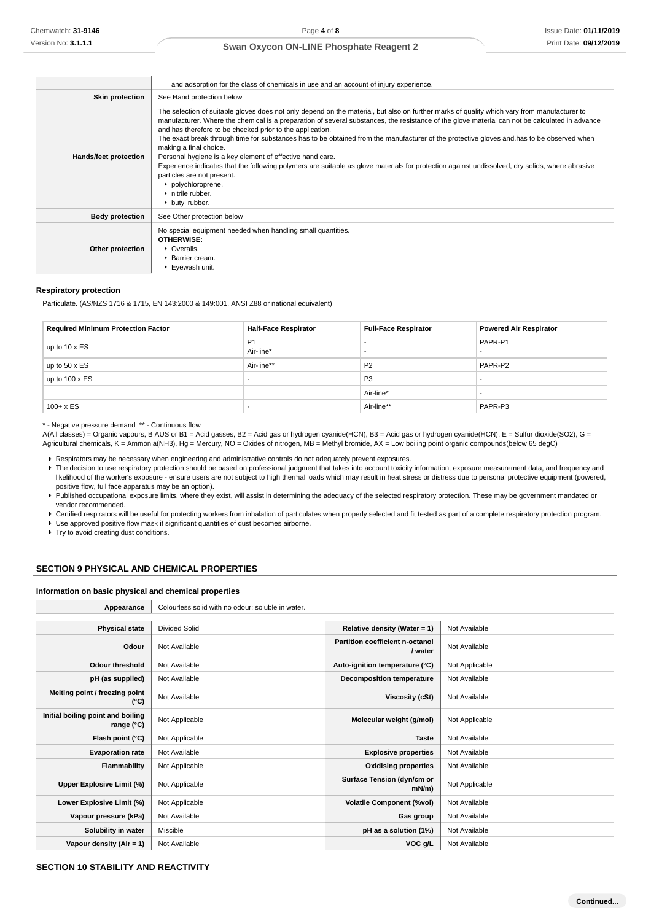|                        | and adsorption for the class of chemicals in use and an account of injury experience.                                                                                                                                                                                                                                                                                                                                                                                                                                                                                                                                                                                                                                                                                                                                                     |  |  |
|------------------------|-------------------------------------------------------------------------------------------------------------------------------------------------------------------------------------------------------------------------------------------------------------------------------------------------------------------------------------------------------------------------------------------------------------------------------------------------------------------------------------------------------------------------------------------------------------------------------------------------------------------------------------------------------------------------------------------------------------------------------------------------------------------------------------------------------------------------------------------|--|--|
| <b>Skin protection</b> | See Hand protection below                                                                                                                                                                                                                                                                                                                                                                                                                                                                                                                                                                                                                                                                                                                                                                                                                 |  |  |
| Hands/feet protection  | The selection of suitable gloves does not only depend on the material, but also on further marks of quality which vary from manufacturer to<br>manufacturer. Where the chemical is a preparation of several substances, the resistance of the glove material can not be calculated in advance<br>and has therefore to be checked prior to the application.<br>The exact break through time for substances has to be obtained from the manufacturer of the protective gloves and has to be observed when<br>making a final choice.<br>Personal hygiene is a key element of effective hand care.<br>Experience indicates that the following polymers are suitable as glove materials for protection against undissolved, dry solids, where abrasive<br>particles are not present.<br>polychloroprene.<br>• nitrile rubber.<br>butyl rubber. |  |  |
| <b>Body protection</b> | See Other protection below                                                                                                                                                                                                                                                                                                                                                                                                                                                                                                                                                                                                                                                                                                                                                                                                                |  |  |
| Other protection       | No special equipment needed when handling small quantities.<br><b>OTHERWISE:</b><br>• Overalls.<br>▶ Barrier cream.<br>Eyewash unit.                                                                                                                                                                                                                                                                                                                                                                                                                                                                                                                                                                                                                                                                                                      |  |  |

#### **Respiratory protection**

Particulate. (AS/NZS 1716 & 1715, EN 143:2000 & 149:001, ANSI Z88 or national equivalent)

| <b>Required Minimum Protection Factor</b> | <b>Half-Face Respirator</b> | <b>Full-Face Respirator</b> | <b>Powered Air Respirator</b> |
|-------------------------------------------|-----------------------------|-----------------------------|-------------------------------|
| up to $10 \times ES$                      | P <sub>1</sub><br>Air-line* |                             | PAPR-P1<br>-                  |
| up to $50 \times ES$                      | Air-line**                  | P <sub>2</sub>              | PAPR-P2                       |
| up to $100 \times ES$                     |                             | P <sub>3</sub>              | -                             |
|                                           |                             | Air-line*                   |                               |
| $100 + x ES$                              |                             | Air-line**                  | PAPR-P3                       |

\* - Negative pressure demand \*\* - Continuous flow

A(All classes) = Organic vapours, B AUS or B1 = Acid gasses, B2 = Acid gas or hydrogen cyanide(HCN), B3 = Acid gas or hydrogen cyanide(HCN), E = Sulfur dioxide(SO2), G = Agricultural chemicals, K = Ammonia(NH3), Hg = Mercury, NO = Oxides of nitrogen, MB = Methyl bromide, AX = Low boiling point organic compounds(below 65 degC)

Respirators may be necessary when engineering and administrative controls do not adequately prevent exposures.

- F The decision to use respiratory protection should be based on professional judgment that takes into account toxicity information, exposure measurement data, and frequency and likelihood of the worker's exposure - ensure users are not subject to high thermal loads which may result in heat stress or distress due to personal protective equipment (powered, positive flow, full face apparatus may be an option).
- Published occupational exposure limits, where they exist, will assist in determining the adequacy of the selected respiratory protection. These may be government mandated or vendor recommended.
- ▶ Certified respirators will be useful for protecting workers from inhalation of particulates when properly selected and fit tested as part of a complete respiratory protection program.
- Use approved positive flow mask if significant quantities of dust becomes airborne.

Try to avoid creating dust conditions.

# **SECTION 9 PHYSICAL AND CHEMICAL PROPERTIES**

### **Information on basic physical and chemical properties**

| Appearance                                      | Colourless solid with no odour; soluble in water. |                                            |                |
|-------------------------------------------------|---------------------------------------------------|--------------------------------------------|----------------|
|                                                 |                                                   |                                            |                |
| <b>Physical state</b>                           | <b>Divided Solid</b>                              | Relative density (Water = 1)               | Not Available  |
| Odour                                           | Not Available                                     | Partition coefficient n-octanol<br>/ water | Not Available  |
| <b>Odour threshold</b>                          | Not Available                                     | Auto-ignition temperature (°C)             | Not Applicable |
| pH (as supplied)                                | Not Available                                     | <b>Decomposition temperature</b>           | Not Available  |
| Melting point / freezing point<br>(°C)          | Not Available                                     | Viscosity (cSt)                            | Not Available  |
| Initial boiling point and boiling<br>range (°C) | Not Applicable                                    | Molecular weight (g/mol)                   | Not Applicable |
| Flash point (°C)                                | Not Applicable                                    | <b>Taste</b>                               | Not Available  |
| <b>Evaporation rate</b>                         | Not Available                                     | <b>Explosive properties</b>                | Not Available  |
| Flammability                                    | Not Applicable                                    | <b>Oxidising properties</b>                | Not Available  |
| Upper Explosive Limit (%)                       | Not Applicable                                    | Surface Tension (dyn/cm or<br>$mN/m$ )     | Not Applicable |
| Lower Explosive Limit (%)                       | Not Applicable                                    | <b>Volatile Component (%vol)</b>           | Not Available  |
| Vapour pressure (kPa)                           | Not Available                                     | Gas group                                  | Not Available  |
| Solubility in water                             | Miscible                                          | pH as a solution (1%)                      | Not Available  |
| Vapour density $(Air = 1)$                      | Not Available                                     | VOC g/L                                    | Not Available  |

# **SECTION 10 STABILITY AND REACTIVITY**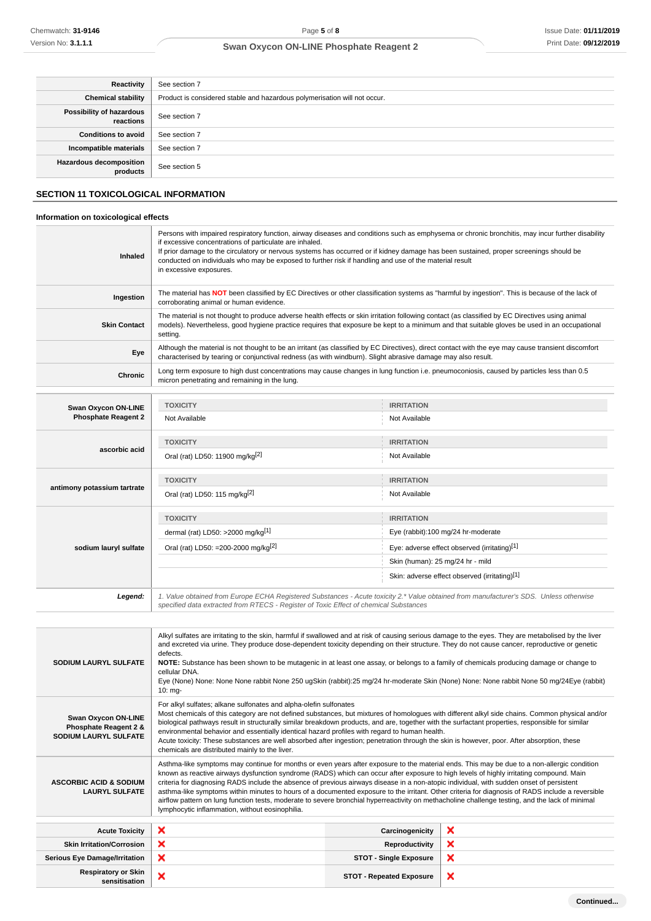| Reactivity                                 | See section 7                                                             |
|--------------------------------------------|---------------------------------------------------------------------------|
| <b>Chemical stability</b>                  | Product is considered stable and hazardous polymerisation will not occur. |
| Possibility of hazardous<br>reactions      | See section 7                                                             |
| <b>Conditions to avoid</b>                 | See section 7                                                             |
| Incompatible materials                     | See section 7                                                             |
| <b>Hazardous decomposition</b><br>products | See section 5                                                             |

# **SECTION 11 TOXICOLOGICAL INFORMATION**

### **Information on toxicological effects**

| Inhaled                                       | Persons with impaired respiratory function, airway diseases and conditions such as emphysema or chronic bronchitis, may incur further disability<br>if excessive concentrations of particulate are inhaled.<br>If prior damage to the circulatory or nervous systems has occurred or if kidney damage has been sustained, proper screenings should be<br>conducted on individuals who may be exposed to further risk if handling and use of the material result<br>in excessive exposures. |                                              |  |  |
|-----------------------------------------------|--------------------------------------------------------------------------------------------------------------------------------------------------------------------------------------------------------------------------------------------------------------------------------------------------------------------------------------------------------------------------------------------------------------------------------------------------------------------------------------------|----------------------------------------------|--|--|
| Ingestion                                     | The material has NOT been classified by EC Directives or other classification systems as "harmful by ingestion". This is because of the lack of<br>corroborating animal or human evidence.                                                                                                                                                                                                                                                                                                 |                                              |  |  |
| <b>Skin Contact</b>                           | The material is not thought to produce adverse health effects or skin irritation following contact (as classified by EC Directives using animal<br>models). Nevertheless, good hygiene practice requires that exposure be kept to a minimum and that suitable gloves be used in an occupational<br>setting.                                                                                                                                                                                |                                              |  |  |
| Eye                                           | Although the material is not thought to be an irritant (as classified by EC Directives), direct contact with the eye may cause transient discomfort<br>characterised by tearing or conjunctival redness (as with windburn). Slight abrasive damage may also result.                                                                                                                                                                                                                        |                                              |  |  |
| Chronic                                       | Long term exposure to high dust concentrations may cause changes in lung function i.e. pneumoconiosis, caused by particles less than 0.5<br>micron penetrating and remaining in the lung.                                                                                                                                                                                                                                                                                                  |                                              |  |  |
|                                               |                                                                                                                                                                                                                                                                                                                                                                                                                                                                                            |                                              |  |  |
| Swan Oxycon ON-LINE                           | <b>TOXICITY</b>                                                                                                                                                                                                                                                                                                                                                                                                                                                                            | <b>IRRITATION</b>                            |  |  |
| <b>Phosphate Reagent 2</b>                    | Not Available                                                                                                                                                                                                                                                                                                                                                                                                                                                                              | Not Available                                |  |  |
|                                               | <b>TOXICITY</b>                                                                                                                                                                                                                                                                                                                                                                                                                                                                            | <b>IRRITATION</b>                            |  |  |
| ascorbic acid                                 | Oral (rat) LD50: 11900 mg/kg <sup>[2]</sup>                                                                                                                                                                                                                                                                                                                                                                                                                                                | Not Available                                |  |  |
|                                               | <b>TOXICITY</b>                                                                                                                                                                                                                                                                                                                                                                                                                                                                            | <b>IRRITATION</b>                            |  |  |
| antimony potassium tartrate                   | Oral (rat) LD50: 115 mg/kg[2]<br>Not Available                                                                                                                                                                                                                                                                                                                                                                                                                                             |                                              |  |  |
|                                               | <b>TOXICITY</b>                                                                                                                                                                                                                                                                                                                                                                                                                                                                            | <b>IRRITATION</b>                            |  |  |
|                                               | dermal (rat) LD50: >2000 mg/kg[1]                                                                                                                                                                                                                                                                                                                                                                                                                                                          | Eye (rabbit):100 mg/24 hr-moderate           |  |  |
| sodium lauryl sulfate                         | Oral (rat) LD50: =200-2000 mg/kg <sup>[2]</sup>                                                                                                                                                                                                                                                                                                                                                                                                                                            | Eye: adverse effect observed (irritating)[1] |  |  |
|                                               |                                                                                                                                                                                                                                                                                                                                                                                                                                                                                            | Skin (human): 25 mg/24 hr - mild             |  |  |
| Skin: adverse effect observed (irritating)[1] |                                                                                                                                                                                                                                                                                                                                                                                                                                                                                            |                                              |  |  |

**Legend:** 1. Value obtained from Europe ECHA Registered Substances - Acute toxicity 2.\* Value obtained from manufacturer's SDS. Unless otherwise specified data extracted from RTECS - Register of Toxic Effect of chemical Substances

| <b>SODIUM LAURYL SULFATE</b>                                                 | Alkyl sulfates are irritating to the skin, harmful if swallowed and at risk of causing serious damage to the eyes. They are metabolised by the liver<br>and excreted via urine. They produce dose-dependent toxicity depending on their structure. They do not cause cancer, reproductive or genetic<br>defects.<br>NOTE: Substance has been shown to be mutagenic in at least one assay, or belongs to a family of chemicals producing damage or change to<br>cellular DNA.<br>Eye (None) None: None None rabbit None 250 ugSkin (rabbit):25 mg/24 hr-moderate Skin (None) None: None rabbit None 50 mg/24Eye (rabbit)<br>$10:$ mg-                                                                                                                                                         |                                 |   |  |
|------------------------------------------------------------------------------|----------------------------------------------------------------------------------------------------------------------------------------------------------------------------------------------------------------------------------------------------------------------------------------------------------------------------------------------------------------------------------------------------------------------------------------------------------------------------------------------------------------------------------------------------------------------------------------------------------------------------------------------------------------------------------------------------------------------------------------------------------------------------------------------|---------------------------------|---|--|
| Swan Oxycon ON-LINE<br>Phosphate Reagent 2 &<br><b>SODIUM LAURYL SULFATE</b> | For alkyl sulfates; alkane sulfonates and alpha-olefin sulfonates<br>Most chemicals of this category are not defined substances, but mixtures of homologues with different alkyl side chains. Common physical and/or<br>biological pathways result in structurally similar breakdown products, and are, together with the surfactant properties, responsible for similar<br>environmental behavior and essentially identical hazard profiles with regard to human health.<br>Acute toxicity: These substances are well absorbed after ingestion; penetration through the skin is however, poor. After absorption, these<br>chemicals are distributed mainly to the liver.                                                                                                                    |                                 |   |  |
| <b>ASCORBIC ACID &amp; SODIUM</b><br><b>LAURYL SULFATE</b>                   | Asthma-like symptoms may continue for months or even years after exposure to the material ends. This may be due to a non-allergic condition<br>known as reactive airways dysfunction syndrome (RADS) which can occur after exposure to high levels of highly irritating compound. Main<br>criteria for diagnosing RADS include the absence of previous airways disease in a non-atopic individual, with sudden onset of persistent<br>asthma-like symptoms within minutes to hours of a documented exposure to the irritant. Other criteria for diagnosis of RADS include a reversible<br>airflow pattern on lung function tests, moderate to severe bronchial hyperreactivity on methacholine challenge testing, and the lack of minimal<br>lymphocytic inflammation, without eosinophilia. |                                 |   |  |
| <b>Acute Toxicity</b>                                                        | ×                                                                                                                                                                                                                                                                                                                                                                                                                                                                                                                                                                                                                                                                                                                                                                                            | Carcinogenicity                 | × |  |
| <b>Skin Irritation/Corrosion</b>                                             | ×                                                                                                                                                                                                                                                                                                                                                                                                                                                                                                                                                                                                                                                                                                                                                                                            | Reproductivity                  | × |  |
| <b>Serious Eye Damage/Irritation</b>                                         | ×                                                                                                                                                                                                                                                                                                                                                                                                                                                                                                                                                                                                                                                                                                                                                                                            | <b>STOT - Single Exposure</b>   | × |  |
| <b>Respiratory or Skin</b><br>sensitisation                                  | ×                                                                                                                                                                                                                                                                                                                                                                                                                                                                                                                                                                                                                                                                                                                                                                                            | <b>STOT - Repeated Exposure</b> | × |  |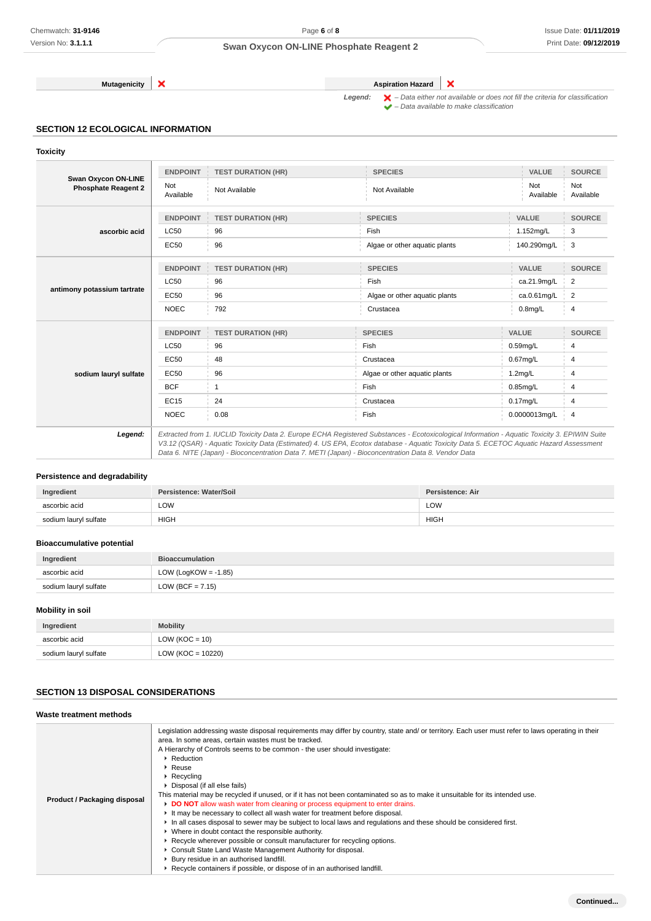**Mutagenicity Aspiration Hazard** 

×

Legend:  $\mathsf{X}$  – Data either not available or does not fill the criteria for classification  $\blacktriangleright$  – Data available to make classification

# **SECTION 12 ECOLOGICAL INFORMATION**

**Toxicity**

|                                                          | <b>ENDPOINT</b>  | <b>TEST DURATION (HR)</b> | <b>SPECIES</b>                                                                                                                                                                                                                                                                           | <b>VALUE</b>     | <b>SOURCE</b>    |
|----------------------------------------------------------|------------------|---------------------------|------------------------------------------------------------------------------------------------------------------------------------------------------------------------------------------------------------------------------------------------------------------------------------------|------------------|------------------|
| <b>Swan Oxycon ON-LINE</b><br><b>Phosphate Reagent 2</b> | Not<br>Available | Not Available             | Not Available                                                                                                                                                                                                                                                                            | Not<br>Available | Not<br>Available |
|                                                          | <b>ENDPOINT</b>  | <b>TEST DURATION (HR)</b> | <b>SPECIES</b>                                                                                                                                                                                                                                                                           | <b>VALUE</b>     | <b>SOURCE</b>    |
| ascorbic acid                                            | <b>LC50</b>      | 96                        | Fish                                                                                                                                                                                                                                                                                     | 1.152mg/L        | 3                |
|                                                          | <b>EC50</b>      | 96                        | Algae or other aquatic plants                                                                                                                                                                                                                                                            | 140.290mg/L      | 3                |
|                                                          | <b>ENDPOINT</b>  | <b>TEST DURATION (HR)</b> | <b>SPECIES</b>                                                                                                                                                                                                                                                                           | <b>VALUE</b>     | <b>SOURCE</b>    |
|                                                          | <b>LC50</b>      | 96                        | Fish                                                                                                                                                                                                                                                                                     | ca.21.9mg/L      | $\overline{2}$   |
| antimony potassium tartrate                              | <b>EC50</b>      | 96                        | Algae or other aquatic plants                                                                                                                                                                                                                                                            | ca.0.61mg/L      | 2                |
|                                                          | <b>NOEC</b>      | 792                       | Crustacea                                                                                                                                                                                                                                                                                | $0.8$ mg/L       | 4                |
|                                                          | <b>ENDPOINT</b>  | <b>TEST DURATION (HR)</b> | <b>SPECIES</b>                                                                                                                                                                                                                                                                           | VALUE            | <b>SOURCE</b>    |
|                                                          | <b>LC50</b>      | 96                        | Fish                                                                                                                                                                                                                                                                                     | $0.59$ mg/L      | 4                |
|                                                          | <b>EC50</b>      | 48                        | Crustacea                                                                                                                                                                                                                                                                                | $0.67$ mg/L      | 4                |
| sodium lauryl sulfate                                    | <b>EC50</b>      | 96                        | Algae or other aquatic plants                                                                                                                                                                                                                                                            | $1.2$ mg/L       | $\overline{4}$   |
|                                                          | <b>BCF</b>       | 1                         | Fish                                                                                                                                                                                                                                                                                     | $0.85$ mg/L      | 4                |
|                                                          | <b>EC15</b>      | 24                        | Crustacea                                                                                                                                                                                                                                                                                | $0.17$ mg/L      | 4                |
|                                                          | <b>NOEC</b>      | 0.08                      | Fish                                                                                                                                                                                                                                                                                     | 0.0000013mg/L    | 4                |
| Legend:                                                  |                  |                           | Extracted from 1. IUCLID Toxicity Data 2. Europe ECHA Registered Substances - Ecotoxicological Information - Aquatic Toxicity 3. EPIWIN Suite<br>V3.12 (QSAR) - Aquatic Toxicity Data (Estimated) 4. US EPA, Ecotox database - Aquatic Toxicity Data 5. ECETOC Aquatic Hazard Assessment |                  |                  |

# **Persistence and degradability**

| Ingredient            | Persistence: Water/Soil | Persistence: Air |
|-----------------------|-------------------------|------------------|
| ascorbic acid         | LOW                     | LOW              |
| sodium lauryl sulfate | <b>HIGH</b>             | <b>HIGH</b>      |

Data 6. NITE (Japan) - Bioconcentration Data 7. METI (Japan) - Bioconcentration Data 8. Vendor Data

### **Bioaccumulative potential**

| Ingredient            | <b>Bioaccumulation</b>  |  |
|-----------------------|-------------------------|--|
| ascorbic acid         | LOW (LogKOW = $-1.85$ ) |  |
| sodium lauryl sulfate | LOW (BCF = $7.15$ )     |  |

### **Mobility in soil**

| Ingredient            | <b>Mobility</b>       |  |
|-----------------------|-----------------------|--|
| ascorbic acid         | $LOW (KOC = 10)$      |  |
| sodium lauryl sulfate | LOW ( $KOC = 10220$ ) |  |

# **SECTION 13 DISPOSAL CONSIDERATIONS**

| Waste treatment methods      |                                                                                                                                                                                                                                                                                                                                                                                                                                                                                                                                                                                                                                                                                                                                                                                                                                                                                                                                                                                                                                                                                                                                                         |
|------------------------------|---------------------------------------------------------------------------------------------------------------------------------------------------------------------------------------------------------------------------------------------------------------------------------------------------------------------------------------------------------------------------------------------------------------------------------------------------------------------------------------------------------------------------------------------------------------------------------------------------------------------------------------------------------------------------------------------------------------------------------------------------------------------------------------------------------------------------------------------------------------------------------------------------------------------------------------------------------------------------------------------------------------------------------------------------------------------------------------------------------------------------------------------------------|
| Product / Packaging disposal | Legislation addressing waste disposal requirements may differ by country, state and/ or territory. Each user must refer to laws operating in their<br>area. In some areas, certain wastes must be tracked.<br>A Hierarchy of Controls seems to be common - the user should investigate:<br>▶ Reduction<br>$\blacktriangleright$ Reuse<br>$\triangleright$ Recycling<br>▶ Disposal (if all else fails)<br>This material may be recycled if unused, or if it has not been contaminated so as to make it unsuitable for its intended use.<br>DO NOT allow wash water from cleaning or process equipment to enter drains.<br>It may be necessary to collect all wash water for treatment before disposal.<br>In all cases disposal to sewer may be subject to local laws and regulations and these should be considered first.<br>• Where in doubt contact the responsible authority.<br>► Recycle wherever possible or consult manufacturer for recycling options.<br>Consult State Land Waste Management Authority for disposal.<br>Bury residue in an authorised landfill.<br>▶ Recycle containers if possible, or dispose of in an authorised landfill. |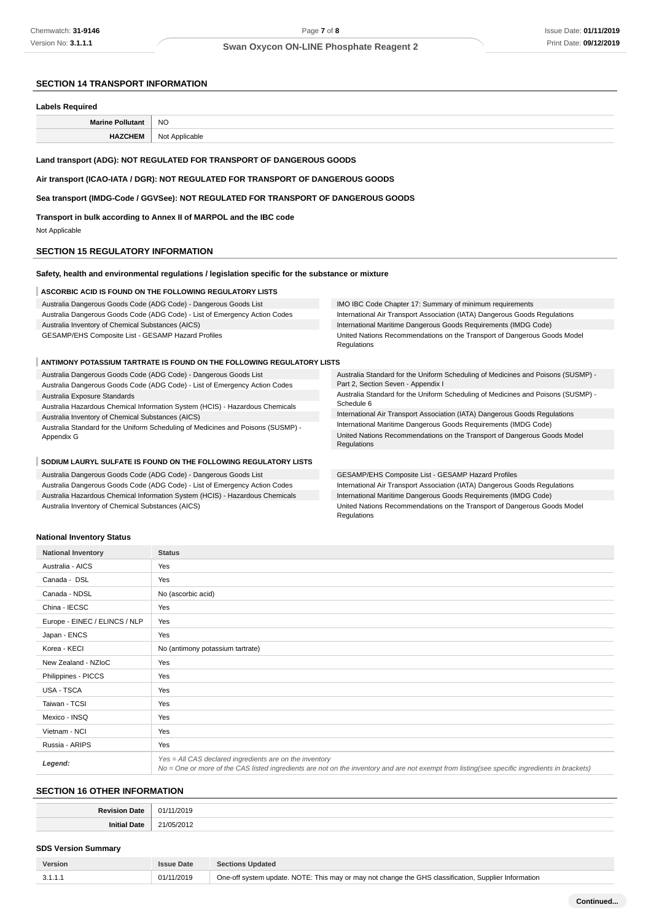### **SECTION 14 TRANSPORT INFORMATION**

#### **Labels Required**

| <b>NC</b><br>$\sim$ |
|---------------------|
|                     |
|                     |

### **Land transport (ADG): NOT REGULATED FOR TRANSPORT OF DANGEROUS GOODS**

**Air transport (ICAO-IATA / DGR): NOT REGULATED FOR TRANSPORT OF DANGEROUS GOODS**

**Sea transport (IMDG-Code / GGVSee): NOT REGULATED FOR TRANSPORT OF DANGEROUS GOODS**

**Transport in bulk according to Annex II of MARPOL and the IBC code**

Not Applicable

#### **SECTION 15 REGULATORY INFORMATION**

#### **Safety, health and environmental regulations / legislation specific for the substance or mixture**

#### **ASCORBIC ACID IS FOUND ON THE FOLLOWING REGULATORY LISTS**

| Australia Dangerous Goods Code (ADG Code) - Dangerous Goods List           | IMO IBC Code Chapter 17: Summary of minimum requirements                                |
|----------------------------------------------------------------------------|-----------------------------------------------------------------------------------------|
| Australia Dangerous Goods Code (ADG Code) - List of Emergency Action Codes | International Air Transport Association (IATA) Dangerous Goods Regulations              |
| Australia Inventory of Chemical Substances (AICS)                          | International Maritime Dangerous Goods Requirements (IMDG Code)                         |
| GESAMP/EHS Composite List - GESAMP Hazard Profiles                         | United Nations Recommendations on the Transport of Dangerous Goods Model<br>Regulations |

#### **ANTIMONY POTASSIUM TARTRATE IS FOUND ON THE FOLLOWING REGULATORY LISTS**

Australia Dangerous Goods Code (ADG Code) - Dangerous Goods List

Australia Dangerous Goods Code (ADG Code) - List of Emergency Action Codes Australia Exposure Standards

Australia Hazardous Chemical Information System (HCIS) - Hazardous Chemicals Australia Inventory of Chemical Substances (AICS)

Australia Standard for the Uniform Scheduling of Medicines and Poisons (SUSMP) - Appendix G

#### **SODIUM LAURYL SULFATE IS FOUND ON THE FOLLOWING REGULATORY LISTS**

Australia Dangerous Goods Code (ADG Code) - Dangerous Goods List Australia Dangerous Goods Code (ADG Code) - List of Emergency Action Codes Australia Hazardous Chemical Information System (HCIS) - Hazardous Chemicals Australia Inventory of Chemical Substances (AICS)

Australia Standard for the Uniform Scheduling of Medicines and Poisons (SUSMP) - Part 2, Section Seven - Appendix I Australia Standard for the Uniform Scheduling of Medicines and Poisons (SUSMP) -

Schedule 6 International Air Transport Association (IATA) Dangerous Goods Regulations

International Maritime Dangerous Goods Requirements (IMDG Code) United Nations Recommendations on the Transport of Dangerous Goods Model Regulations

# GESAMP/EHS Composite List - GESAMP Hazard Profiles

International Air Transport Association (IATA) Dangerous Goods Regulations International Maritime Dangerous Goods Requirements (IMDG Code) United Nations Recommendations on the Transport of Dangerous Goods Model Regulations

### **National Inventory Status**

| <b>National Inventory</b>     | <b>Status</b>                                                                                                                                                                                            |
|-------------------------------|----------------------------------------------------------------------------------------------------------------------------------------------------------------------------------------------------------|
| Australia - AICS              | Yes                                                                                                                                                                                                      |
| Canada - DSL                  | Yes                                                                                                                                                                                                      |
| Canada - NDSL                 | No (ascorbic acid)                                                                                                                                                                                       |
| China - IECSC                 | Yes                                                                                                                                                                                                      |
| Europe - EINEC / ELINCS / NLP | Yes                                                                                                                                                                                                      |
| Japan - ENCS                  | Yes                                                                                                                                                                                                      |
| Korea - KECI                  | No (antimony potassium tartrate)                                                                                                                                                                         |
| New Zealand - NZIoC           | Yes                                                                                                                                                                                                      |
| Philippines - PICCS           | Yes                                                                                                                                                                                                      |
| USA - TSCA                    | Yes                                                                                                                                                                                                      |
| Taiwan - TCSI                 | Yes                                                                                                                                                                                                      |
| Mexico - INSQ                 | Yes                                                                                                                                                                                                      |
| Vietnam - NCI                 | Yes                                                                                                                                                                                                      |
| Russia - ARIPS                | Yes                                                                                                                                                                                                      |
| Legend:                       | Yes = All CAS declared ingredients are on the inventory<br>No = One or more of the CAS listed ingredients are not on the inventory and are not exempt from listing(see specific ingredients in brackets) |

### **SECTION 16 OTHER INFORMATION**

| <b>D</b> - | ___ |
|------------|-----|
|            |     |
|            |     |

# **SDS Version Summary**

| 01/11/2019<br>One-off system update. NOTE: This may or may not change the GHS classification, Supplier Information<br>3.1.1.1 | Version | <b>Issue Date</b> | Sections Updated |
|-------------------------------------------------------------------------------------------------------------------------------|---------|-------------------|------------------|
|                                                                                                                               |         |                   |                  |